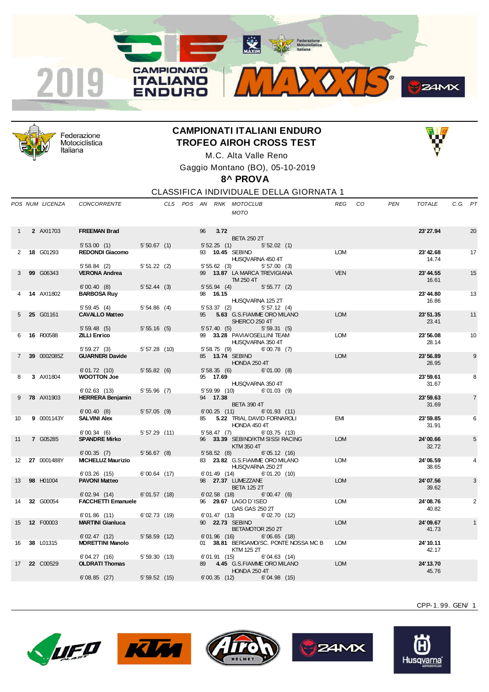



Federazione Motociclistica Italiana

## **CAMPIONATI ITALIANI ENDURO TROFEO AIROH CROSS TEST**



M.C. Alta Valle Reno Gaggio Montano (BO), 05-10-2019

**8^ PROVA**

CLASSIFICA INDIVIDUALE DELLA GIORNATA 1

|                | POS NUM LICENZA   | <b>CONCORRENTE</b>                      |                 |  |     |                        | CLS POS AN RNK MOTOCLUB<br><b>MOTO</b> |                                                  |                                    | REG        | CO. | <b>PEN</b> | <b>TOTALE</b>      | C.G. PT |                |
|----------------|-------------------|-----------------------------------------|-----------------|--|-----|------------------------|----------------------------------------|--------------------------------------------------|------------------------------------|------------|-----|------------|--------------------|---------|----------------|
|                |                   |                                         |                 |  |     |                        |                                        |                                                  |                                    |            |     |            |                    |         |                |
|                | 2 AXI1703         | <b>FREEMAN Brad</b>                     |                 |  | 96  | 3.72                   |                                        |                                                  |                                    |            |     |            | 23' 27.94          |         | 20             |
|                |                   |                                         |                 |  |     |                        | <b>BETA 250 2T</b>                     |                                                  |                                    |            |     |            |                    |         |                |
|                |                   | 5'53.00(1)                              | 5'50.67(1)      |  |     | 5'52.25(1)             |                                        | 5'52.02(1)                                       |                                    |            |     |            |                    |         |                |
| $\overline{2}$ | 18 G01293         | <b>REDONDI Giacomo</b>                  |                 |  |     |                        | 93 10.45 SEBINO                        | HUSQVARNA 450 4T                                 |                                    | <b>LOM</b> |     |            | 23' 42.68<br>14.74 |         | 17             |
|                |                   | $5'58.84$ (2)<br><b>VERONA Andrea</b>   | $5'51.22$ (2)   |  |     | 5'55.62(3)             |                                        | 5'57.00(3)                                       |                                    | <b>VEN</b> |     |            | 23' 44.55          |         | 15             |
| 3              | 99 G06343         |                                         |                 |  |     |                        | TM 250 4T                              | 99 13.87 LA MARCA TREVIGIANA                     |                                    |            |     |            | 16.61              |         |                |
|                | <b>14 AXI1802</b> | 6'00.40(8)<br><b>BARBOSA Ruy</b>        | 5'52.44(3)      |  |     | 5'55.94(4)<br>98 16.15 |                                        | 5'55.77(2)                                       |                                    |            |     |            | 23'44.80           |         | 13             |
|                |                   |                                         |                 |  |     |                        |                                        | HUSQVARNA 125 2T                                 |                                    |            |     |            | 16.86              |         |                |
|                |                   | 5'59.45(4)                              | 5'54.86(4)      |  |     | 5'53.37(2)             |                                        | 5'57.12(4)                                       |                                    |            |     |            |                    |         |                |
| 5              | 25 G01161         | <b>CAVALLO Matteo</b>                   |                 |  | 95  |                        | SHERCO 250 4T                          | 5.63 G.S.FIAMME ORO MILANO                       |                                    | <b>LOM</b> |     |            | 23'51.35<br>23.41  |         | 11             |
|                |                   | 5'59.48(5)                              | 5'55.16(5)      |  |     | 5'57.40(5)             |                                        | 5'59.31(5)                                       |                                    |            |     |            |                    |         |                |
| 6              | 16 R00588         | <b>ZILLI Enrico</b>                     |                 |  |     |                        |                                        | 99 33.28 PAVIA/OSELLINI TEAM<br>HUSQVARNA 350 4T |                                    | <b>LOM</b> |     |            | 23'56.08<br>28.14  |         | 10             |
|                |                   | 5'59.27(3)                              | 5'57.28(10)     |  |     | 5'58.75(9)             |                                        | 6'00.78(7)                                       |                                    |            |     |            |                    |         |                |
| $\overline{7}$ | 39 0002085Z       | <b>GUARNERI Davide</b>                  |                 |  |     |                        | 85 13.74 SEBINO<br>HONDA 250 4T        |                                                  |                                    | <b>LOM</b> |     |            | 23'56.89<br>28.95  |         | 9              |
| 8              | 3 AXI1804         | 6'01.72(10)<br><b>WOOTTON Joe</b>       | 5'55.82(6)      |  |     | 5'58.35(6)<br>95 17.69 |                                        | 6'01.00(8)                                       |                                    |            |     |            | 23'59.61           |         | 8              |
|                |                   |                                         |                 |  |     |                        |                                        | HUSQVARNA 350 4T                                 |                                    |            |     |            | 31.67              |         |                |
|                |                   | 6'02.63(13)                             | $5'55.96$ (7)   |  |     | $5'59.99$ (10)         |                                        | $6' 01.03$ (9)                                   |                                    |            |     |            |                    |         |                |
| 9              | <b>78 AXI1903</b> | <b>HERRERA Benjamin</b>                 |                 |  |     | 94 17.38               | <b>BETA 390 4T</b>                     |                                                  |                                    |            |     |            | 23' 59.63<br>31.69 |         | $\overline{7}$ |
|                |                   | 6'00.40(8)                              | $5'57.05$ (9)   |  |     | 6'00.25(11)            |                                        | 6'01.93(11)                                      |                                    |            |     |            |                    |         |                |
| 10             | 9 0001143Y        | <b>SALVINI Alex</b>                     |                 |  | 85  |                        | HONDA 450 4T                           | 5.22 TRIAL DAVID FORNAROLI                       |                                    | <b>EMI</b> |     |            | 23'59.85<br>31.91  |         | 6              |
|                |                   | 6'00.34(6)                              | 5'57.29(11)     |  |     | 5'58.47(7)             |                                        | 6'03.75(13)                                      |                                    |            |     |            |                    |         |                |
| 11             | 7 G05285          | <b>SPANDRE Mirko</b>                    |                 |  |     |                        | KTM 350 4T                             | 96 33.39 SEBINO/KTM SISSI RACING                 |                                    | <b>LOM</b> |     |            | 24'00.66<br>32.72  |         | 5              |
| 12             | 27 0001488Y       | 6'00.35(7)<br><b>MICHELUZ Maurizio</b>  | 5'56.67(8)      |  |     | 5'58.52(8)             |                                        | 6'05.12(16)<br>83 23.82 G.S.FIAMME ORO MILANO    |                                    | <b>LOM</b> |     |            | 24'06.59           |         | 4              |
|                |                   | 6'03.26(15)                             | $6'00.64$ (17)  |  |     | 6'01.49(14)            |                                        | HUSQVARNA 250 2T<br>6' 01.20 (10)                |                                    |            |     |            | 38.65              |         |                |
| 13             | 98 H01004         | <b>PAVONI Matteo</b>                    |                 |  |     |                        | 98 27.37 LUMEZZANE                     |                                                  |                                    | <b>LOM</b> |     |            | 24'07.56           |         | 3              |
|                |                   |                                         |                 |  |     |                        | <b>BETA 125 2T</b>                     |                                                  |                                    |            |     |            | 39.62              |         |                |
|                |                   | 6'02.94(14)                             | $6' 01.57$ (18) |  |     | 6'02.58(18)            |                                        | 6'00.47(6)                                       |                                    |            |     |            |                    |         |                |
| 14             | 32 G00054         | <b>FACCHETTI Emanuele</b>               |                 |  |     |                        | 96 29.67 LAGO D'ISEO<br>GAS GAS 250 2T |                                                  |                                    | <b>LOM</b> |     |            | 24'08.76<br>40.82  |         | $\overline{2}$ |
|                |                   | 6'01.86(11)                             | 6'02.73(19)     |  |     | 6'01.47(13)            |                                        | 6'02.70(12)                                      |                                    |            |     |            |                    |         |                |
| 15             | 12 F00003         | <b>MARTINI Gianluca</b>                 |                 |  |     |                        | 90 22.73 SEBINO                        | BETAMOTOR 250 2T                                 |                                    | <b>LOM</b> |     |            | 24'09.67<br>41.73  |         |                |
|                |                   | 6'02.47(12)                             | 5'58.59(12)     |  |     | 6'01.96 (16)           |                                        | $6'06.65$ (18)                                   |                                    | LOM        |     |            | 24' 10.11          |         |                |
| 16             | 38 L01315         | <b>MORETTINI Manolo</b><br>6'04.27 (16) | 5'59.30(13)     |  | 01. | 6'01.91(15)            | KTM 125 2T                             | 6'04.63(14)                                      | 38.81 BERGAMO/SC. PONTE NOSSA MC B |            |     |            | 42.17              |         |                |
| 17             | 22 C00529         | <b>OLDRATI Thomas</b>                   |                 |  | 89  |                        |                                        | 4.45 G.S.FIAMME ORO MILANO                       |                                    | <b>LOM</b> |     |            | 24' 13.70          |         |                |
|                |                   | 6'08.85(27)                             | 5'59.52(15)     |  |     | 6'00.35(12)            | <b>HONDA 250 4T</b>                    | 6'04.98(15)                                      |                                    |            |     |            | 45.76              |         |                |
|                |                   |                                         |                 |  |     |                        |                                        |                                                  |                                    |            |     |            |                    |         |                |











CPP-1. 99. GEN/ 1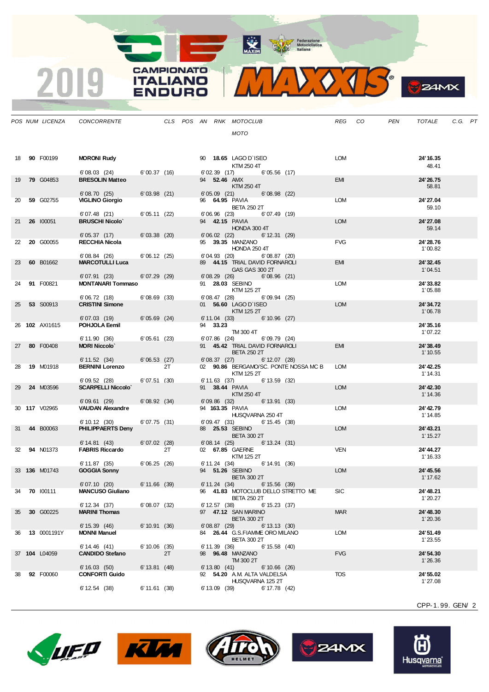MAXIM Pederazione

**CAMPIONATO** 

**ITALIANO** 

**ENDURO** 

2019

MIDOJS

|    |                    | POS NUM LICENZA CONCORRENTE             |                |    |  |                 | CLS POS AN RNK MOTOCLUB                                                       |                 | REG CO     | <b>PEN</b> | TOTALE                | C.G. PT |  |
|----|--------------------|-----------------------------------------|----------------|----|--|-----------------|-------------------------------------------------------------------------------|-----------------|------------|------------|-----------------------|---------|--|
|    |                    |                                         |                |    |  |                 | <b>MOTO</b>                                                                   |                 |            |            |                       |         |  |
|    | 18 90 F00199       | <b>MORONI Rudy</b>                      |                |    |  |                 | 90 18.65 LAGO D'ISEO<br>KTM 250 4T                                            |                 | LOM        |            | 24' 16.35<br>48.41    |         |  |
| 19 | <b>79 G04853</b>   | 6'08.03(24)<br><b>BRESOLIN Matteo</b>   | 6'00.37 (16)   |    |  |                 | 6'02.39 (17) 6'05.56 (17)<br>94 <b>52.46 AMX</b><br>KTM 250 4T                |                 | EMI        |            | 24' 26.75<br>58.81    |         |  |
| 20 | 59 G02755          | 6'08.70(25)<br><b>VIGLINO Giorgio</b>   | 6'03.98(21)    |    |  |                 | $6'05.09$ $(21)$<br>96 64.95 PAVIA<br><b>BETA 250 2T</b>                      | 6'08.98(22)     | LOM        |            | 24' 27.04<br>59.10    |         |  |
| 21 | 26 100051          | 6'07.48(21)<br><b>BRUSCHI Nicolo</b>    | 6'05.11(22)    |    |  |                 | 6'06.96 (23) 6'07.49 (19)<br>94 <b>42.15   PAVIA</b><br>HONDA 300 4T          |                 | <b>LOM</b> |            | 24' 27.08<br>59.14    |         |  |
| 22 | 20 G00055          | 6'05.37(17)<br><b>RECCHIA Nicola</b>    | 6'03.38(20)    |    |  |                 | 6'06.02 (22) 6'12.31 (29)<br>95 39.35 MANZANO                                 |                 | <b>FVG</b> |            | 24' 28.76             |         |  |
|    |                    | 6'08.84(26)                             | 6'06.12(25)    |    |  |                 | HONDA 250 4T<br>$6'04.93$ $(20)$ $6'08.87$ $(20)$                             |                 |            |            | 1'00.82               |         |  |
| 23 | 60 B01662          | <b>MARCOTULLI Luca</b><br>6'07.91 (23)  | 6'07.29(29)    |    |  |                 | 89 44.15 TRIAL DAVID FORNAROLI<br>GAS GAS 300 2T<br>6'08.96 (21) 6'08.96 (21) |                 | <b>EMI</b> |            | 24' 32.45<br>1'04.51  |         |  |
| 24 | 91 F00821          | <b>MONTANARI Tommaso</b>                |                |    |  |                 | 91 28.03 SEBINO<br>KTM 125 2T                                                 |                 | LOM        |            | 24'33.82<br>1'05.88   |         |  |
| 25 | <b>53 S00913</b>   | 6'06.72(18)<br><b>CRISTINI Simone</b>   | 6'08.69(33)    |    |  |                 | $6'08.47$ (28) $6'09.94$ (25)<br>01 56.60 LAGO D'ISEO<br>KTM 125 2T           |                 | <b>LOM</b> |            | 24'34.72<br>1'06.78   |         |  |
|    | 26 102 AXI1615     | 6'07.03 (19)<br>POHJOLA Eemil           | 6'05.69(24)    |    |  | 94 33.23        | 6' 11.04 (33) 6' 10.96 (27)<br>TM 300 4T                                      |                 |            |            | 24' 35.16<br>1'07.22  |         |  |
| 27 | 80 F00408          | 6'11.90(36)<br><b>MORI Niccolo'</b>     | 6'05.61(23)    |    |  | $6'07.86$ (24)  | 6'09.79 (24)<br>91 45.42 TRIAL DAVID FORNAROLI                                |                 | <b>EMI</b> |            | 24' 38.49             |         |  |
|    |                    | 6' 11.52 (34)                           | 6'06.53(27)    |    |  | 6'08.37(27)     | <b>BETA 250 2T</b>                                                            | $6' 12.07$ (28) |            |            | 1' 10.55              |         |  |
| 28 | <b>19 M01918</b>   | <b>BERNINI Lorenzo</b><br>6'09.52(28)   | 6'07.51(30)    | 2T |  | 6' 11.63 (37)   | 02 90.86 BERGAMO/SC. PONTE NOSSA MC B<br>KTM 125 2T                           | 6' 13.59 (32)   | <b>LOM</b> |            | 24' 42.25<br>1' 14.31 |         |  |
| 29 | 24 M03596          | <b>SCARPELLI Niccolo'</b>               |                |    |  |                 | 91 38.44 PAVIA<br>KTM 250 4T                                                  |                 | <b>LOM</b> |            | 24' 42.30<br>1' 14.36 |         |  |
|    | 30 117 V02965      | 6'09.61(29)<br><b>VAUDAN Alexandre</b>  | 6'08.92(34)    |    |  | $6'09.86$ (32)  | 6' 13.91 (33)<br>94 163.35 PAVIA<br>HUSQVARNA 250 4T                          |                 | <b>LOM</b> |            | 24' 42.79<br>1' 14.85 |         |  |
| 31 | 44 B00063          | 6'10.12(30)<br><b>PHILIPPAERTS Deny</b> | 6'07.75(31)    |    |  |                 | 6'09.47 (31) 6'15.45 (38)<br>88  25.53  SEBINO<br><b>BETA 300 2T</b>          |                 | <b>LOM</b> |            | 24' 43.21<br>1' 15.27 |         |  |
| 32 | <b>94 N01373</b>   | 6' 14.81 (43)<br><b>FABRIS Riccardo</b> | 6'07.02(28)    | 2T |  |                 | $6'08.14$ (25) $6'13.24$ (31)<br>02 67.85 GAERNE<br>KTM 125 2T                |                 | <b>VEN</b> |            | 24' 44.27<br>1' 16.33 |         |  |
|    | 33 136 M01743      | 6' 11.87 (35)<br><b>GOGGIA Sonny</b>    | 6'06.25(26)    |    |  |                 | 6' 11.24 (34) 6' 14.91 (36)<br>94 51.26 SEBINO                                |                 | <b>LOM</b> |            | 24' 45.56             |         |  |
|    | 34 70 100111       | 6'07.10(20)<br><b>MANCUSO Giuliano</b>  | 6'11.66 (39)   |    |  | 6' 11.24 (34)   | <b>BETA 300 2T</b><br>96 41.83 MOTOCLUB DELLO STRETTO ME                      | $6' 15.56$ (39) | <b>SIC</b> |            | 1' 17.62<br>24' 48.21 |         |  |
| 35 | 30 G00225          | 6' 12.34 (37)<br><b>MARINI Thomas</b>   | 6'08.07(32)    |    |  | $6' 12.57$ (38) | <b>BETA 250 2T</b><br>97 47.12 SAN MARINO                                     | $6' 15.23$ (37) | <b>MAR</b> |            | 1'20.27<br>24' 48.30  |         |  |
| 36 | <b>13</b> 0001191Y | 6' 15.39 (46)<br><b>MONNI Manuel</b>    | 6'10.91(36)    |    |  | 6'08.87(29)     | <b>BETA 300 2T</b><br>84 26.44 G.S.FIAMME ORO MILANO                          | 6' 13.13 (30)   | <b>LOM</b> |            | 1'20.36<br>24' 51.49  |         |  |
|    | 37 104 L04059      | 6'14.46(41)<br><b>CANDIDO Stefano</b>   | $6'10.06$ (35) | 2T |  | 6'11.39(36)     | <b>BETA 300 2T</b><br>98 96.48 MANZANO                                        | $6' 15.58$ (40) | <b>FVG</b> |            | 1'23.55<br>24' 54.30  |         |  |
|    |                    | 6'16.03(50)                             | 6' 13.81 (48)  |    |  | 6' 13.80 (41)   | TM 300 2T                                                                     | 6'10.66(26)     |            |            | 1'26.36               |         |  |
| 38 | 92 F00060          | <b>CONFORTI Guido</b><br>6'12.54(38)    | 6' 11.61 (38)  |    |  | $6' 13.09$ (39) | 92 54.20 A.M. ALTA VALDELSA<br>HUSQVARNA 125 2T                               | 6' 17.78 (42)   | <b>TOS</b> |            | 24' 55.02<br>1'27.08  |         |  |
|    |                    |                                         |                |    |  |                 |                                                                               |                 |            |            |                       |         |  |

CPP-1. 99. GEN/ 2

**B**Z4MX









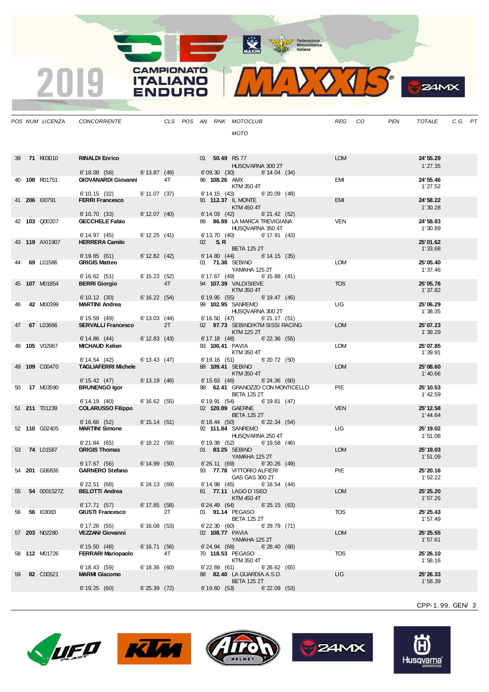MAXIM Pederazione



**B**ZAMX

|    | POS NUM LICENZA      | CONCORRENTE                                |                 |    |  |                   | CLS POS AN RNK MOTOCLUB                               |                   | REG        | CO | PEN | TOTALE               | C.G. PT |  |
|----|----------------------|--------------------------------------------|-----------------|----|--|-------------------|-------------------------------------------------------|-------------------|------------|----|-----|----------------------|---------|--|
|    |                      |                                            |                 |    |  |                   | <b>MOTO</b>                                           |                   |            |    |     |                      |         |  |
|    |                      |                                            |                 |    |  |                   |                                                       |                   |            |    |     |                      |         |  |
|    |                      |                                            |                 |    |  |                   |                                                       |                   | <b>LOM</b> |    |     | 24' 55.29            |         |  |
|    | 39 71 R03010         | <b>RINALDI Enrico</b>                      |                 |    |  |                   | 01 50.49 RS 77<br>HUSQVARNA 300 2T                    |                   |            |    |     | 1'27.35              |         |  |
|    |                      | 6' 18.08 (58) 6' 13.87 (49)                |                 |    |  |                   | 6'09.30(30)                                           | 6' 14.04 (34)     |            |    |     |                      |         |  |
|    | 40 108 R01751        | <b>GIOVANARDI Giovanni</b>                 |                 | 4T |  |                   | 96 108.26 AMX<br>KTM 350 4T                           |                   | EMI        |    |     | 24' 55.46<br>1'27.52 |         |  |
|    |                      | 6'10.15(32)                                | 6' 11.07 (37)   |    |  |                   | 6' 14.15 (43) 6' 20.09 (48)                           |                   |            |    |     |                      |         |  |
|    | 41 206 100791        | <b>FERRI Francesco</b>                     |                 |    |  |                   | 91 112.37 IL MONTE                                    |                   | <b>EMI</b> |    |     | 24' 58.22            |         |  |
|    |                      | 6' 10.70 (33)                              | 6' 12.07 (40)   |    |  |                   | KTM 450 4T<br>$6' 14.03$ (42) $6' 21.42$ (52)         |                   |            |    |     | 1'30.28              |         |  |
|    | 42 103 Q00207        | <b>GECCHELE Fabio</b>                      |                 |    |  |                   | 89 86.89 LA MARCA TREVIGIANA                          |                   | <b>VEN</b> |    |     | 24' 58.83            |         |  |
|    |                      | 6' 14.97 (45)                              | 6' 12.25 (41)   |    |  |                   | HUSQVARNA 350 4T<br>6' 13.70 (40) 6' 17.91 (43)       |                   |            |    |     | 1'30.89              |         |  |
|    | 43 119 AXI1907       | <b>HERRERA Camilo</b>                      |                 |    |  | 02 S.R            |                                                       |                   |            |    |     | 25'01.62             |         |  |
|    |                      |                                            |                 |    |  |                   | <b>BETA 125 2T</b>                                    |                   |            |    |     | 1'33.68              |         |  |
|    | 69 L01586            | 6'19.85(61)<br><b>GRIGIS Matteo</b>        | 6' 12.82 (42)   |    |  |                   | 6' 14.80 (44) 6' 14.15 (35)<br>01 71.38 SEBINO        |                   | <b>LOM</b> |    |     | 25'05.40             |         |  |
|    |                      |                                            |                 |    |  |                   | YAMAHA 125 2T                                         |                   |            |    |     | 1'37.46              |         |  |
|    | 45 107 M01854        | 6'16.62(51)<br><b>BERRI Giorgio</b>        | 6' 15.23 (52)   | 4T |  |                   | 6' 17.67 (49)<br>94 107.39 VALDISIEVE                 | $6' 15.88$ (41)   | <b>TOS</b> |    |     | 25'05.76             |         |  |
|    |                      |                                            |                 |    |  |                   | KTM 350 4T                                            |                   |            |    |     | 1'37.82              |         |  |
| 46 | 42 M00399            | 6'10.12(30)<br><b>MARTINI Andrea</b>       | 6' 16.22 (54)   |    |  |                   | 6' 19.95 (55) 6' 19.47 (45)<br>99 102.95 SANREMO      |                   | LIG        |    |     | 25'06.29             |         |  |
|    |                      |                                            |                 |    |  |                   | HUSQVARNA 300 2T                                      |                   |            |    |     | 1'38.35              |         |  |
|    |                      | 6' 15.59 (49)                              | 6' 13.03 (44)   |    |  |                   | 6' 16.50 (47)                                         | 6'21.17(51)       |            |    |     |                      |         |  |
| 47 | 67 L03666            | <b>SERVALLI Francesco</b>                  |                 | 2T |  |                   | 02 97.73 SEBINO/KTM SISSI RACING<br>KTM 125 2T        |                   | <b>LOM</b> |    |     | 25'07.23<br>1'39.29  |         |  |
|    |                      | $6' 14.86$ (44)                            | 6' 12.83 (43)   |    |  |                   | $6' 17.18$ (48) $6' 22.36$ (55)                       |                   |            |    |     |                      |         |  |
|    | 48 <b>105</b> V02967 | <b>MICHAUD Kelien</b>                      |                 |    |  |                   | 93 100.41 PAVIA<br>KTM 350 4T                         |                   | <b>LOM</b> |    |     | 25'07.85<br>1'39.91  |         |  |
|    |                      | 6' 14.54 (42)                              | 6' 13.43 (47)   |    |  |                   | 6' 19.16 (51)                                         | 6'20.72(50)       |            |    |     |                      |         |  |
|    | 49 109 C00470        | <b>TAGLIAFERRI Michele</b>                 |                 |    |  |                   | 88 109.41 SEBINO<br>KTM 350 4T                        |                   | <b>LOM</b> |    |     | 25'08.60<br>1'40.66  |         |  |
|    |                      | 6' 15.42 (47)                              | 6' 13.19 (46)   |    |  |                   | $6' 15.63$ (46)                                       | 6'24.36(60)       |            |    |     |                      |         |  |
| 50 | 17 M03590            | <b>BRUNENGO Igor</b>                       |                 |    |  |                   | 98 62.41 GRANOZZO CON MONTICELLO                      |                   | PIE        |    |     | 25' 10.53            |         |  |
|    |                      | 6' 14.19 (40)                              | 6'16.62(55)     |    |  |                   | <b>BETA 125 2T</b><br>6' 19.91 (54) 6' 19.81 (47)     |                   |            |    |     | 1'42.59              |         |  |
|    | 51 211 T01239        | <b>COLARUSSO Filippo</b>                   |                 |    |  |                   | 02 120.89 GAERNE                                      |                   | <b>VEN</b> |    |     | 25' 12.58            |         |  |
|    |                      | 6'16.66(52)                                | 6' 15.14 (51)   |    |  |                   | <b>BETA 125 2T</b><br>$6' 18.44$ (50) $6' 22.34$ (54) |                   |            |    |     | 1' 44.64             |         |  |
|    | 52 110 G02405        | <b>MARTINI Simone</b>                      |                 |    |  |                   | 92 111.84 SANREMO                                     |                   | LIG        |    |     | 25' 19.02            |         |  |
|    |                      | 6'21.84 (65)                               | 6' 18.22(59)    |    |  |                   | HUSQVARNA 250 4T<br>6' 19.38 (52) 6' 19.58 (46)       |                   |            |    |     | 1'51.08              |         |  |
|    | 53 74 L01587         | <b>GRIGIS Thomas</b>                       |                 |    |  |                   | 01 83.25 SEBINO                                       |                   | <b>LOM</b> |    |     | 25' 19.03            |         |  |
|    |                      |                                            |                 |    |  |                   | YAMAHA 125 2T                                         |                   |            |    |     | 1'51.09              |         |  |
|    | 54 201 G06836        | 6'17.67(56)<br><b>GARNERO Stefano</b>      | 6' 14.99 (50)   |    |  |                   | 6'26.11(69)<br>93 77.78 VITTORIO ALFIERI              | 6'20.26(49)       | PIE        |    |     | 25' 20.16            |         |  |
|    |                      |                                            |                 |    |  |                   | GAS GAS 300 2T                                        |                   |            |    |     | 1'52.22              |         |  |
| 55 | 54 0001527Z          | $6'$ 22.51 $(68)$<br><b>BELOTTI Andrea</b> | 6'24.13 (69)    |    |  |                   | $6'14.98$ (45) $6'18.54$ (44)<br>81 77.11 LAGO D'ISEO |                   | <b>LOM</b> |    |     | 25' 25.20            |         |  |
|    |                      |                                            |                 |    |  |                   | KTM 450 4T                                            |                   |            |    |     | 1'57.26              |         |  |
| 56 | 56 103083            | 6' 17.71 (57)<br><b>GIUSTI Francesco</b>   | 6' 17.85 (58)   | 2T |  | 6' 24.49 (64)     | 01 91.14 PEGASO                                       | 6'25.15(63)       | <b>TOS</b> |    |     | 25' 25.43            |         |  |
|    |                      |                                            |                 |    |  |                   | <b>BETA 125 2T</b>                                    |                   |            |    |     | 1'57.49              |         |  |
|    |                      | 6' 17.26 (55)                              | $6' 16.08$ (53) |    |  | $6'$ 22.30 $(60)$ |                                                       | 6'29.79 (71)      |            |    |     |                      |         |  |
|    | 57 203 N02280        | <b>VEZZANI Giovanni</b>                    |                 |    |  |                   | 02 108.77 PAVIA<br>YAMAHA 125 2T                      |                   | <b>LOM</b> |    |     | 25' 25.55<br>1'57.61 |         |  |
|    |                      | 6' 15.50 (48)                              | 6'16.71(56)     |    |  | 6'24.94 (68)      |                                                       | 6'28.40(68)       |            |    |     |                      |         |  |
|    | 58 <b>112</b> M01726 | <b>FERRARI Mariopaolo</b>                  |                 | 4T |  |                   | 70 118.53 PEGASO<br>KTM 350 4T                        |                   | <b>TOS</b> |    |     | 25' 26.10<br>1'58.16 |         |  |
|    |                      | 6' 18.43 (59)                              | 6' 18.36 (60)   |    |  | $6'$ 22.69 $(61)$ |                                                       | 6'26.62(65)       |            |    |     |                      |         |  |
| 59 | 82 C00521            | <b>MARMI Giacomo</b>                       |                 |    |  |                   | 88 82.40 LA GUARDIA A.S.D.<br><b>BETA 125 2T</b>      |                   | ЦG         |    |     | 25' 26.33<br>1'58.39 |         |  |
|    |                      | 6'19.25(60)                                | 6'25.39(72)     |    |  | 6'19.60(53)       |                                                       | $6'$ 22.09 $(53)$ |            |    |     |                      |         |  |
|    |                      |                                            |                 |    |  |                   |                                                       |                   |            |    |     |                      |         |  |

**CAMPIONATO** 

**ITALIANO** 

**ENDURO** 

2019

CPP-1. 99. GEN/ 3









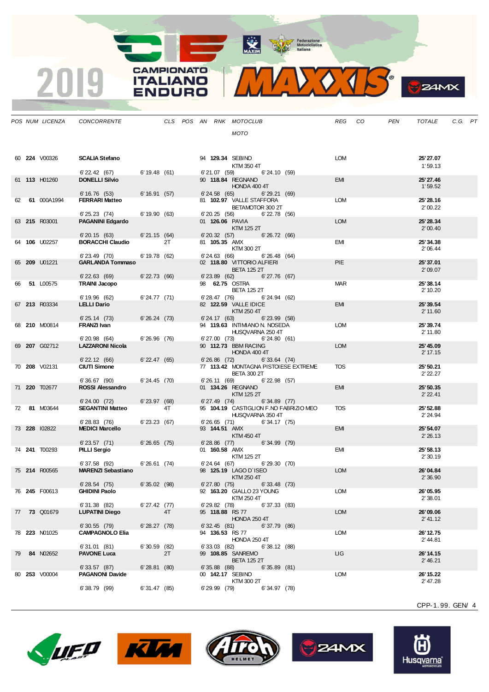MAXIM Rederazione

**CAMPIONATO** 

**ITALIANO** 

**ENDURO** 

2019

VOTS.  $\mathbf{V}$ 

|  | POS NUM LICENZA | CONCORRENTE                               |                   |    |  |                | CLS POS AN RNK MOTOCLUB                                    | REG CO     | PEN | TOTALE                | C.G. PT |  |
|--|-----------------|-------------------------------------------|-------------------|----|--|----------------|------------------------------------------------------------|------------|-----|-----------------------|---------|--|
|  |                 |                                           |                   |    |  |                | <b>MOTO</b>                                                |            |     |                       |         |  |
|  |                 |                                           |                   |    |  |                |                                                            |            |     |                       |         |  |
|  |                 |                                           |                   |    |  |                |                                                            |            |     |                       |         |  |
|  | 60 224 V00326   | <b>SCALIA Stefano</b>                     |                   |    |  |                | 94 129.34 SEBINO                                           | LOM        |     | 25' 27.07             |         |  |
|  |                 | $6'$ 22.42 (67) 6'19.48 (61)              |                   |    |  |                | KTM 350 4T<br>$6'21.07$ (59) $6'24.10$ (59)                |            |     | 1'59.13               |         |  |
|  | 61 113 H01260   | <b>DONELLI Silvio</b>                     |                   |    |  |                | 90 118.84 REGNANO                                          | EMI        |     | 25' 27.46             |         |  |
|  |                 |                                           |                   |    |  |                | HONDA 400 4T                                               |            |     | 1'59.52               |         |  |
|  | 62 61 000A1994  | 6'16.76(53)<br><b>FERRARI Matteo</b>      | 6'16.91(57)       |    |  | 6'24.58(65)    | 6'29.21(69)<br>81 102.97 VALLE STAFFORA                    | LOM        |     | 25' 28.16             |         |  |
|  |                 |                                           |                   |    |  |                | BETAMOTOR 300 2T                                           |            |     | 2'00.22               |         |  |
|  |                 | 6'25.23(74)                               | 6'19.90(63)       |    |  |                | $6'$ 20.25 $(56)$<br>$6'$ 22.78 $(56)$                     |            |     |                       |         |  |
|  | 63 215 R03001   | <b>PAGANINI Edgardo</b>                   |                   |    |  |                | 01 126.06 PAVIA<br>KTM 125 2T                              | <b>LOM</b> |     | 25' 28.34<br>2'00.40  |         |  |
|  |                 | $6'$ 20.15 $(63)$                         | 6'21.15(64)       |    |  |                | 6'20.32 (57) 6'26.72 (66)                                  |            |     |                       |         |  |
|  | 64 106 U02257   | <b>BORACCHI Claudio</b>                   |                   | 2T |  |                | 81 <b>105.35</b> AMX                                       | EMI        |     | 25'34.38              |         |  |
|  |                 | $6'$ 23.49 $(70)$                         | 6' 19.78 (62)     |    |  |                | KTM 300 2T<br>6'24.63 (66) 6'26.48 (64)                    |            |     | 2'06.44               |         |  |
|  | 65 209 U01221   | <b>GARLANDA Tommaso</b>                   |                   |    |  |                | 02 118.80 VITTORIO ALFIERI                                 | <b>PIE</b> |     | 25' 37.01             |         |  |
|  |                 |                                           |                   |    |  |                | <b>BETA 125 2T</b>                                         |            |     | 2'09.07               |         |  |
|  | 66 51 L00575    | $6'$ 22.63 $(69)$<br><b>TRAINI Jacopo</b> | $6'$ 22.73 $(66)$ |    |  |                | 6'23.89 (62) 6'27.76 (67)<br>98 62.75 OSTRA                | <b>MAR</b> |     | 25' 38.14             |         |  |
|  |                 |                                           |                   |    |  |                | <b>BETA 125 2T</b>                                         |            |     | 2' 10.20              |         |  |
|  |                 | 6'19.96(62)                               | $6' 24.77$ (71)   |    |  |                | $6'$ 28.47 $(76)$<br>6'24.94(62)                           |            |     |                       |         |  |
|  | 67 213 R03334   | <b>LELLI Dario</b>                        |                   |    |  |                | 82 122.59 VALLE IDICE<br>KTM 250 4T                        | <b>EMI</b> |     | 25' 39.54<br>2' 11.60 |         |  |
|  |                 | 6'25.14(73)                               | 6'26.24(73)       |    |  |                | $6'$ 24.17 $(63)$<br>$6'$ 23.99 $(58)$                     |            |     |                       |         |  |
|  | 68 210 M00814   | <b>FRANZI Ivan</b>                        |                   |    |  |                | 94 119.63 INTIMIANO N. NOSEDA                              | <b>LOM</b> |     | 25' 39.74             |         |  |
|  |                 | 6'20.98(64)                               | 6'26.96(76)       |    |  |                | HUSQVARNA 250 4T<br>6'27.00 (73)<br>6'24.80(61)            |            |     | 2' 11.80              |         |  |
|  | 69 207 G02712   | <b>LAZZARONI Nicola</b>                   |                   |    |  |                | 90 112.73 BBM RACING                                       | <b>LOM</b> |     | 25' 45.09             |         |  |
|  |                 |                                           |                   |    |  |                | HONDA 400 4T                                               |            |     | 2' 17.15              |         |  |
|  | 70 208 V02131   | $6'$ 22.12 $(66)$<br><b>CIUTI Simone</b>  | $6'$ 22.47 $(65)$ |    |  | 6'26.86 (72)   | $6'33.64$ (74)<br>77 113.42 MONTAGNA PISTOIESE EXTREME     | TOS        |     | 25' 50.21             |         |  |
|  |                 |                                           |                   |    |  |                | <b>BETA 300 2T</b>                                         |            |     | 2'22.27               |         |  |
|  |                 | $6'36.67$ (90)                            | 6'24.45(70)       |    |  | 6' 26.11 (69)  | $6'$ 22.98 $(57)$                                          |            |     |                       |         |  |
|  | 71 220 T02677   | <b>ROSSI Alessandro</b>                   |                   |    |  |                | 01 134.26 REGNANO<br>KTM 125 2T                            | <b>EMI</b> |     | 25' 50.35<br>2' 22.41 |         |  |
|  |                 | 6'24.00(72)                               | $6'$ 23.97 $(68)$ |    |  | 6' 27.49 (74)  | $6'34.89$ (77)                                             |            |     |                       |         |  |
|  | 72 81 M03644    | <b>SEGANTINI Matteo</b>                   |                   | 4T |  |                | 95 104.19 CASTIGLION F.NO FABRIZIO MEO<br>HUSQVARNA 350 4T | <b>TOS</b> |     | 25' 52.88<br>2' 24.94 |         |  |
|  |                 | 6'28.83(76)                               | $6'$ 23.23 $(67)$ |    |  |                | $6'26.65$ (71) $6'34.17$ (75)                              |            |     |                       |         |  |
|  | 73 228 102822   | <b>MEDICI Marcello</b>                    |                   |    |  |                | 93 144.51 AMX                                              | <b>EMI</b> |     | 25' 54.07             |         |  |
|  |                 |                                           |                   |    |  |                | KTM 450 4T<br>6'28.86 (77) 6'34.99 (79)                    |            |     | 2'26.13               |         |  |
|  | 74 241 T00293   | 6'23.57(71)<br>PILLI Sergio               | 6'26.65(75)       |    |  | 01 160.58 AMX  |                                                            | EMI        |     | 25' 58.13             |         |  |
|  |                 |                                           |                   |    |  |                | KTM 125 2T                                                 |            |     | 2'30.19               |         |  |
|  | 75 214 R00565   | 6'37.58 (92)<br><b>MARENZI Sebastiano</b> | 6'26.61(74)       |    |  |                | 6'24.64 (67)<br>6'29.30(70)<br>98 125.19 LAGO D'ISEO       | <b>LOM</b> |     | 26'04.84              |         |  |
|  |                 |                                           |                   |    |  |                | KTM 250 4T                                                 |            |     | 2'36.90               |         |  |
|  |                 | 6'28.54(75)                               | 6'35.02(98)       |    |  | 6'27.80 (75)   | 6'33.48(73)                                                |            |     |                       |         |  |
|  | 76 245 F00613   | <b>GHIDINI Paolo</b>                      |                   |    |  |                | 92 163.20 GIALLO 23 YOUNG<br>KTM 250 4T                    | LOM        |     | 26'05.95<br>2'38.01   |         |  |
|  |                 | 6'31.38 (82)                              | $6'27.42$ (77)    |    |  | 6'29.82(78)    | 6'37.33(83)                                                |            |     |                       |         |  |
|  | 77 73 Q01679    | <b>LUPATINI Diego</b>                     |                   | 4T |  |                | 95 118.88 RS 77                                            | <b>LOM</b> |     | 26'09.06              |         |  |
|  |                 | $6'30.55$ (79)                            | 6'28.27(78)       |    |  | 6'32.45(81)    | HONDA 250 4T<br>6'37.79(86)                                |            |     | 2' 41.12              |         |  |
|  | 78 223 N01025   | <b>CAMPAGNOLO Elia</b>                    |                   |    |  |                | 94 136.53 RS 77                                            | <b>LOM</b> |     | 26' 12.75             |         |  |
|  |                 |                                           |                   |    |  |                | <b>HONDA 250 4T</b>                                        |            |     | 2' 44.81              |         |  |
|  | 79 84 N02652    | 6'31.01(81)<br><b>PAVONE Luca</b>         | $6'30.59$ (82)    | 2T |  | 6'33.03 (82)   | 6'38.12(88)<br>99 108.85 SANREMO                           | <b>LIG</b> |     | 26' 14.15             |         |  |
|  |                 |                                           |                   |    |  |                | <b>BETA 125 2T</b>                                         |            |     | 2' 46.21              |         |  |
|  |                 | 6'33.57(87)                               | 6'28.81(80)       |    |  | $6'35.88$ (88) | 6'35.89(81)                                                |            |     |                       |         |  |
|  | 80 253 V00004   | <b>PAGANONI Davide</b>                    |                   |    |  |                | 00 142.17 SEBINO<br>KTM 300 2T                             | <b>LOM</b> |     | 26' 15.22<br>2' 47.28 |         |  |
|  |                 | 6'38.79 (99)                              | 6'31.47(85)       |    |  | 6'29.99 (79)   | 6'34.97(78)                                                |            |     |                       |         |  |
|  |                 |                                           |                   |    |  |                |                                                            |            |     |                       |         |  |

CPP-1. 99. GEN/ 4

**S**ZAMX









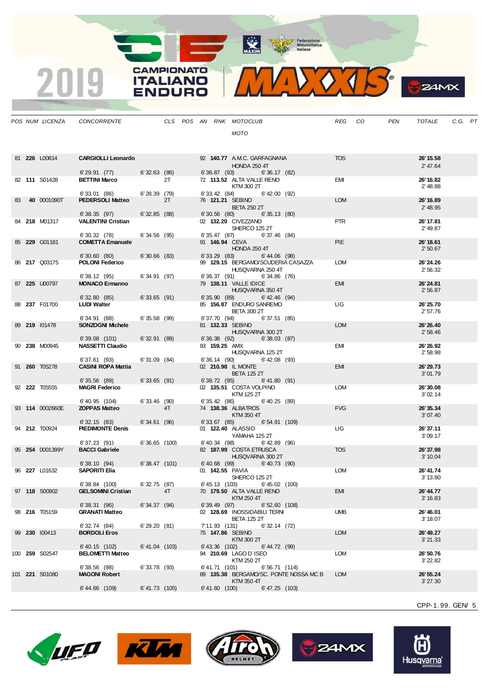MAXIM Rederazione

**CAMPIONATO** 

**ITALIANO** 

**ENDURO** 

2019

WVOJS

|  | POS NUM LICENZA       | CONCORRENTE                            |                  |    |  |                | CLS POS AN RNK MOTOCLUB                                           |               | REG CO     | PEN | TOTALE                | C.G. PT |  |
|--|-----------------------|----------------------------------------|------------------|----|--|----------------|-------------------------------------------------------------------|---------------|------------|-----|-----------------------|---------|--|
|  |                       |                                        |                  |    |  |                | <b>MOTO</b>                                                       |               |            |     |                       |         |  |
|  |                       |                                        |                  |    |  |                |                                                                   |               |            |     |                       |         |  |
|  |                       |                                        |                  |    |  |                |                                                                   |               |            |     |                       |         |  |
|  | 81 226 L00814         | <b>CARGIOLLI Leonardo</b>              |                  |    |  |                | 92 140.77 A.M.C. GARFAGNANA<br><b>HONDA 250 4T</b>                |               | <b>TOS</b> |     | 26' 15.58<br>2' 47.64 |         |  |
|  |                       | 6'29.91(77)                            | 6'32.63(86)      |    |  |                | 6' 36.87 (93) 6' 36.17 (82)                                       |               |            |     |                       |         |  |
|  | 82 111 S01428         | <b>BETTINI Marco</b>                   |                  | 2T |  |                | 72 113.52 ALTA VALLE RENO<br>KTM 300 2T                           |               | EMI        |     | 26' 16.82<br>2'48.88  |         |  |
|  |                       | 6'33.01 (86)                           | 6'28.39(79)      |    |  | 6' 33.42 (84)  | 6' 42.00 (92)                                                     |               |            |     |                       |         |  |
|  | 83 <b>40</b> 0001090T | <b>PEDERSOLI Matteo</b>                |                  | 2T |  |                | 76 121.21 SEBINO                                                  |               | <b>LOM</b> |     | 26' 16.89             |         |  |
|  |                       | 6'38.35(97)                            | 6'32.85(88)      |    |  |                | <b>BETA 250 2T</b><br>$6'30.56$ (80) $6'35.13$ (80)               |               |            |     | 2' 48.95              |         |  |
|  | 84 218 M01317         | <b>VALENTINI Cristian</b>              |                  |    |  |                | 02 132.20 CIVEZZANO                                               |               | <b>PTR</b> |     | 26' 17.81             |         |  |
|  |                       | 6'30.32 (78)                           | 6'34.56(95)      |    |  |                | SHERCO 125 2T<br>6' 35.47 (87) 6' 37.46 (84)                      |               |            |     | 2' 49.87              |         |  |
|  | 85 229 G01181         | <b>COMETTA Emanuele</b>                |                  |    |  |                | 91 146.94 CEVA                                                    |               | <b>PIE</b> |     | 26' 18.61             |         |  |
|  |                       |                                        |                  |    |  |                | <b>HONDA 250 4T</b>                                               |               |            |     | 2'50.67               |         |  |
|  | 86 217 Q03175         | 6'30.60 (80)<br><b>POLONI Federico</b> | 6'30.66(83)      |    |  |                | 6' 33.29 (83) 6' 44.06 (98)<br>99 129.15 BERGAMO/SCUDERIA CASAZZA |               | <b>LOM</b> |     | 26' 24.26             |         |  |
|  |                       |                                        |                  |    |  |                | HUSQVARNA 250 4T                                                  |               |            |     | 2' 56.32              |         |  |
|  | 87 225 U00797         | 6'38.12(95)<br><b>MONACO Ermanno</b>   | 6'34.91 (97)     |    |  |                | 6'36.37 (91) 6'34.86 (76)<br>79 138.11 VALLE IDICE                |               | <b>EMI</b> |     | 26'24.81              |         |  |
|  |                       |                                        |                  |    |  |                | HUSQVARNA 350 4T                                                  |               |            |     | 2'56.87               |         |  |
|  |                       | 6' 32.80 (85)                          | $6'33.65$ (91)   |    |  |                | 6' 35.90 (89)<br>6' 42.46 (94)                                    |               |            |     |                       |         |  |
|  | 88 237 F01700         | <b>LUDI Walter</b>                     |                  |    |  |                | 85 156.87 ENDURO SANREMO<br><b>BETA 300 2T</b>                    |               | LIG.       |     | 26' 25.70<br>2'57.76  |         |  |
|  |                       | 6'34.91 (88)                           | 6'35.58 (99)     |    |  |                | 6' 37.70 (94) 6' 37.51 (85)                                       |               |            |     |                       |         |  |
|  | 89 219 101478         | <b>SONZOGNI Michele</b>                |                  |    |  |                | 81 132.33 SEBINO<br>HUSQVARNA 300 2T                              |               | <b>LOM</b> |     | 26' 26.40<br>2'58.46  |         |  |
|  |                       | 6'39.08 (101)                          | 6'32.91(89)      |    |  |                | 6' 36.38 (92)<br>6'38.03(87)                                      |               |            |     |                       |         |  |
|  | 90 238 M00945         | <b>NASSETTI Claudio</b>                |                  |    |  |                | 93 159.25 AMX                                                     |               | EMI        |     | 26' 26.92             |         |  |
|  |                       | 6'37.61(93)                            | 6'31.09(84)      |    |  |                | HUSQVARNA 125 2T<br>6' 36.14 (90)<br>$6'$ 42.08 (93)              |               |            |     | 2'58.98               |         |  |
|  | 91 260 T05278         | <b>CASINI ROPA Mattia</b>              |                  |    |  |                | 02 210.98 IL MONTE                                                |               | <b>EMI</b> |     | 26'29.73              |         |  |
|  |                       | 6'35.56(89)                            | 6'33.65(91)      |    |  | 6' 38.72 (95)  | <b>BETA 125 2T</b><br>6' 41.80 (91)                               |               |            |     | 3'01.79               |         |  |
|  | 92 222 T05555         | <b>MAGRI Federico</b>                  |                  |    |  |                | 02 135.51 COSTA VOLPINO                                           |               | LOM        |     | 26'30.08              |         |  |
|  |                       | 6'40.95 (104)                          | 6'33.46(90)      |    |  |                | KTM 125 2T<br>$6'35.42$ (86) $6'40.25$ (89)                       |               |            |     | 3'02.14               |         |  |
|  | 93 114 0002660E       | <b>ZOPPAS Matteo</b>                   |                  | 4T |  |                | 74 138.36 ALBATROS                                                |               | <b>FVG</b> |     | 26' 35.34             |         |  |
|  |                       |                                        |                  |    |  |                | KTM 350 4T                                                        |               |            |     | 3'07.40               |         |  |
|  | 94 212 T00924         | 6'32.15(83)<br><b>PIEDIMONTE Denis</b> | 6'34.61(96)      |    |  |                | 6' 33.67 (85) 6' 54.91 (109)<br>01 122.40 ALASSIO                 |               | LIG.       |     | 26' 37.11             |         |  |
|  |                       |                                        |                  |    |  |                | YAMAHA 125 2T                                                     |               |            |     | 3'09.17               |         |  |
|  | 95 254 0001399Y       | 6'37.23 (91)<br><b>BACCI Gabriele</b>  | $6'36.65$ (100)  |    |  |                | 6'40.34 (98)<br>$6'$ 42.89 (96)<br>82 187.99 COSTA ETRUSCA        |               | <b>TOS</b> |     | 26' 37.98             |         |  |
|  |                       |                                        |                  |    |  |                | HUSQVARNA 300 2T                                                  |               |            |     | 3' 10.04              |         |  |
|  | 96 227 L01632         | 6'38.10(94)<br><b>SAPORITI Elia</b>    | 6'38.47(101)     |    |  |                | 6'40.68 (99) 6'40.73 (90)<br>01 142.55 PAVIA                      |               | <b>LOM</b> |     | 26' 41.74             |         |  |
|  |                       |                                        |                  |    |  |                | SHERCO 125 2T                                                     |               |            |     | 3' 13.80              |         |  |
|  |                       | 6'38.84 (100)                          | 6'32.75(87)      |    |  |                | 6' 45.13 (103)                                                    | 6'45.02 (100) |            |     |                       |         |  |
|  | 97 118 S00902         | <b>GELSOMINI Cristian</b>              |                  | 4T |  |                | 70 179.50 ALTA VALLE RENO<br>KTM 250 4T                           |               | EMI        |     | 26' 44.77<br>3' 16.83 |         |  |
|  |                       | 6'38.31 (96)                           | 6'34.37(94)      |    |  | $6'39.49$ (97) |                                                                   | 6'52.60(108)  |            |     |                       |         |  |
|  | 98 216 T05159         | <b>GRANATI Matteo</b>                  |                  |    |  |                | 02 128.69 INOSSIDABILI TERNI<br><b>BETA 125 2T</b>                |               | <b>UMB</b> |     | 26' 46.01<br>3' 18.07 |         |  |
|  |                       | 6'32.74(84)                            | 6'29.20(81)      |    |  | 7' 11.93 (131) | 6'32.14(72)                                                       |               |            |     |                       |         |  |
|  | 99 230 100413         | <b>BORDOLI Eros</b>                    |                  |    |  |                | 75 147.86 SEBINO                                                  |               | <b>LOM</b> |     | 26' 49.27             |         |  |
|  |                       | 6' 40.15 (102)                         | $6' 41.04$ (103) |    |  | 6'43.36 (102)  | KTM 300 2T<br>6' 44.72 (99)                                       |               |            |     | 3'21.33               |         |  |
|  | 100 259 S02547        | <b>BELOMETTI Matteo</b>                |                  |    |  |                | 94 210.69 LAGO D`ISEO                                             |               | LOM        |     | 26'50.76              |         |  |
|  |                       | $6'38.56$ (98)                         | $6'33.78$ (93)   |    |  | 6'41.71 (101)  | KTM 250 2T                                                        | 6'56.71(114)  |            |     | 3' 22.82              |         |  |
|  | 101 221 S01080        | <b>MAGONI Robert</b>                   |                  |    |  |                | 89 135.38 BERGAMO/SC. PONTE NOSSA MC B                            |               | <b>LOM</b> |     | 26' 55.24             |         |  |
|  |                       | 6'44.66 (109)                          | 6'41.73 (105)    |    |  |                | KTM 350 4T<br>6'41.60(100)<br>6'47.25 (103)                       |               |            |     | 3'27.30               |         |  |
|  |                       |                                        |                  |    |  |                |                                                                   |               |            |     |                       |         |  |

CPP-1. 99. GEN/ 5

**B**ZAMX









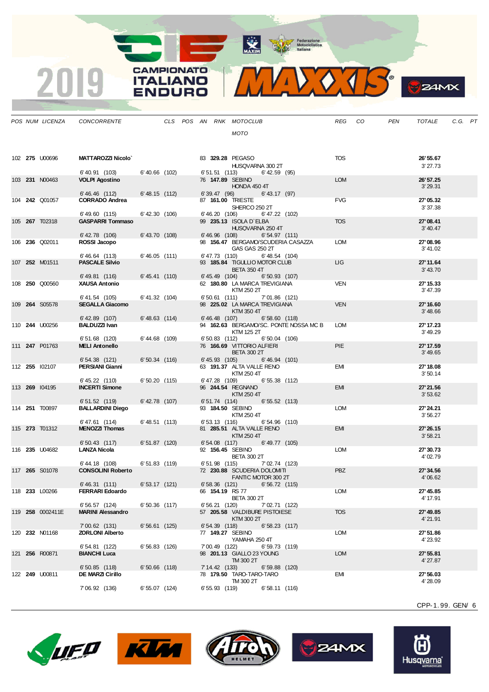MAXIM Rederazione

**CAMPIONATO** 

**ITALIANO** 

**ENDURO** 

2019

VOTS.  $\mathbf{V}$ 

|  | POS NUM LICENZA       | CONCORRENTE                                |                    |  |                  | CLS POS AN RNK MOTOCLUB                                    | REG CO     | PEN | TOTALE                | C.G. PT |  |
|--|-----------------------|--------------------------------------------|--------------------|--|------------------|------------------------------------------------------------|------------|-----|-----------------------|---------|--|
|  |                       |                                            |                    |  |                  | MOTO                                                       |            |     |                       |         |  |
|  | 102 <b>275 U00696</b> | MATTAROZZI Nicolo`                         |                    |  |                  | 83 329.28 PEGASO                                           | <b>TOS</b> |     | 26' 55.67             |         |  |
|  |                       |                                            |                    |  |                  | HUSQVARNA 300 2T                                           |            |     | 3'27.73               |         |  |
|  | 103 231 N00463        | 6'40.91 (103)<br><b>VOLPI Agostino</b>     | 6'40.66 (102)      |  |                  | $6'51.51$ (113) $6'42.59$ (95)<br>76 147.89 SEBINO         | <b>LOM</b> |     | 26' 57.25             |         |  |
|  |                       |                                            |                    |  |                  | HONDA 450 4T                                               |            |     | 3' 29.31              |         |  |
|  | 104 242 Q01057        | 6'46.46 (112)<br><b>CORRADO Andrea</b>     | 6'48.15 (112)      |  | 6' 39.47 (96)    | $6'$ 43.17 (97)<br>87 161.00 TRIESTE                       | <b>FVG</b> |     | 27'05.32              |         |  |
|  |                       |                                            |                    |  |                  | SHERCO 250 2T                                              |            |     | 3'37.38               |         |  |
|  | 105 267 T02318        | 6'49.60 (115)<br><b>GASPARRI Tommaso</b>   | $6'$ 42.30 $(106)$ |  | 6' 46.20 (106)   | $6' 47.22$ (102)<br>99 235.13 ISOLA D'ELBA                 | <b>TOS</b> |     | 27'08.41              |         |  |
|  |                       |                                            |                    |  |                  | HUSQVARNA 250 4T                                           |            |     | 3' 40.47              |         |  |
|  |                       | 6' 42.78 (106)                             | 6'43.70 (108)      |  |                  | $6'46.96$ (108)<br>6'54.97(111)                            |            |     |                       |         |  |
|  | 106 236 Q02011        | ROSSI Jacopo                               |                    |  |                  | 98 156.47 BERGAMO/SCUDERIA CASAZZA<br>GAS GAS 250 2T       | LOM        |     | 27'08.96<br>3'41.02   |         |  |
|  |                       | 6'46.64 (113)                              | 6'46.05(111)       |  |                  | 6'47.73 (110)<br>$6' 48.54$ (104)                          |            |     |                       |         |  |
|  | 107 252 M01511        | <b>PASCALE Silvio</b>                      |                    |  |                  | 93 185.84 TIGULLIO MOTOR CLUB<br><b>BETA 350 4T</b>        | LIG.       |     | 27' 11.64<br>3'43.70  |         |  |
|  |                       | 6'49.81 (116)                              | 6' 45.41 (110)     |  |                  | $6' 45.49$ (104) $6' 50.93$ (107)                          |            |     |                       |         |  |
|  | 108 <b>250</b> Q00560 | <b>XAUSA Antonio</b>                       |                    |  |                  | 62 180.80 LA MARCA TREVIGIANA<br>KTM 250 2T                | <b>VEN</b> |     | 27' 15.33<br>3'47.39  |         |  |
|  |                       | 6'41.54 (105)                              | 6'41.32 (104)      |  |                  | 6'50.61 (111) 7'01.86 (121)                                |            |     |                       |         |  |
|  | 109 264 S05578        | <b>SEGALLA Giacomo</b>                     |                    |  |                  | 98 225.02 LA MARCA TREVIGIANA<br>KTM 350 4T                | <b>VEN</b> |     | 27' 16.60<br>3' 48.66 |         |  |
|  |                       | $6'$ 42.89 $(107)$                         | $6' 48.63$ (114)   |  |                  | 6' 46.48 (107) 6' 58.60 (118)                              |            |     |                       |         |  |
|  | 110 244 U00256        | <b>BALDUZZI Ivan</b>                       |                    |  |                  | 94 162.63 BERGAMO/SC. PONTE NOSSA MC B                     | <b>LOM</b> |     | 27' 17.23             |         |  |
|  |                       | 6' 51.68 (120) 6' 44.68 (109)              |                    |  |                  | KTM 125 2T<br>6'50.83 (112) 6'50.04 (106)                  |            |     | 3'49.29               |         |  |
|  | 111 247 P01763        | <b>MELI Antonello</b>                      |                    |  |                  | 76 166.69 VITTORIO ALFIERI                                 | <b>PIE</b> |     | 27' 17.59             |         |  |
|  |                       | 6'54.38 (121)                              | 6'50.34 (116)      |  | $6' 45.93$ (105) | <b>BETA 300 2T</b><br>6'46.94 (101)                        |            |     | 3' 49.65              |         |  |
|  | 112 255 102107        | PERSIANI Gianni                            |                    |  |                  | 63 191.37 ALTA VALLE RENO                                  | EMI        |     | 27' 18.08             |         |  |
|  |                       | 6' 45.22 (110)                             | 6'50.20(115)       |  | 6'47.28 (109)    | KTM 250 4T<br>6'55.38 (112)                                |            |     | 3'50.14               |         |  |
|  | 113 269 104195        | <b>INCERTI Simone</b>                      |                    |  |                  | 96 244.54 REGNANO                                          | <b>EMI</b> |     | 27' 21.56             |         |  |
|  |                       | 6'51.52(119)                               | $6'$ 42.78 $(107)$ |  |                  | KTM 250 4T<br>6'51.74 (114)<br>6'55.52(113)                |            |     | 3'53.62               |         |  |
|  | 114 251 T00897        | <b>BALLARDINI Diego</b>                    |                    |  |                  | 93 184.50 SEBINO                                           | <b>LOM</b> |     | 27' 24.21             |         |  |
|  |                       | 6'47.61 (114)                              | 6' 48.51 (113)     |  |                  | KTM 250 4T<br>6' 53.13 (116)<br>6'54.96(110)               |            |     | 3'56.27               |         |  |
|  | 115 <b>273</b> T01312 | <b>MENOZZI Thomas</b>                      |                    |  |                  | 81 285.51 ALTA VALLE RENO                                  | <b>EMI</b> |     | 27' 26.15             |         |  |
|  |                       |                                            |                    |  |                  | KTM 250 4T                                                 |            |     | 3'58.21               |         |  |
|  | 116 235 U04682        | $6'50.43$ (117)<br><b>LANZA Nicola</b>     | 6'51.87(120)       |  |                  | 6' 54.08 (117) 6' 49.77 (105)<br>92 156.45 SEBINO          | <b>LOM</b> |     | 27' 30.73             |         |  |
|  |                       |                                            |                    |  |                  | <b>BETA 300 2T</b>                                         |            |     | 4'02.79               |         |  |
|  | 117 265 S01078        | 6' 44.18 (108)<br><b>CONSOLINI Roberto</b> | 6'51.83 (119)      |  |                  | 6'51.98 (115) 7'02.74 (123)<br>72 230.88 SCUDERIA DOLOMITI | <b>PBZ</b> |     | 27' 34.56             |         |  |
|  |                       |                                            |                    |  |                  | FANTIC MOTOR 300 2T                                        |            |     | 4'06.62               |         |  |
|  | 118 233 L00266        | 6'46.31(111)<br><b>FERRARI Edoardo</b>     | 6'53.17(121)       |  |                  | $6'58.36$ (121)<br>6'56.72(115)<br>66 154.19 RS 77         | <b>LOM</b> |     | 27' 45.85             |         |  |
|  |                       |                                            |                    |  |                  | <b>BETA 300 2T</b>                                         |            |     | 4' 17.91              |         |  |
|  | 119 258 0002411E      | 6' 56.57 (124)<br><b>MARINI Alessandro</b> | $6'50.36$ (117)    |  | 6'56.21(120)     | 7'02.71 (122)<br>57 205.58 VALDIBURE PISTOIESE             | <b>TOS</b> |     | 27' 49.85             |         |  |
|  |                       |                                            |                    |  |                  | KTM 300 2T                                                 |            |     | 4' 21.91              |         |  |
|  | 120 232 N01168        | 7'00.62 (131)<br><b>ZORLONI Alberto</b>    | $6'56.61$ (125)    |  | 6'54.39(118)     | 6'58.23(117)                                               | <b>LOM</b> |     |                       |         |  |
|  |                       |                                            |                    |  |                  | 77 149.27 SEBINO<br>YAMAHA 250 4T                          |            |     | 27' 51.86<br>4' 23.92 |         |  |
|  |                       | 6' 54.81 (122)                             | $6'56.83$ (126)    |  | 7'00.49 (122)    | 6'59.73(119)                                               |            |     |                       |         |  |
|  | 121 256 R00871        | <b>BIANCHI Luca</b>                        |                    |  |                  | 98 <b>201.13</b> GIALLO 23 YOUNG<br>TM 300 2T              | <b>LOM</b> |     | 27' 55.81<br>4' 27.87 |         |  |
|  |                       | $6'50.85$ (118)                            | $6'50.66$ (118)    |  | $7'14.42$ (133)  | $6'59.88$ (120)                                            |            |     |                       |         |  |
|  | 122 <b>249</b> U00811 | DE MARZI Cirillo                           |                    |  |                  | 78 179.50 TARO-TARO-TARO<br>TM 300 2T                      | EMI        |     | 27' 56.03<br>4'28.09  |         |  |
|  |                       | 7' 06.92 (136)                             | 6'55.07(124)       |  | $6'55.93$ (119)  | 6'58.11(116)                                               |            |     |                       |         |  |

CPP-1. 99. GEN/ 6

**S**ZAMX